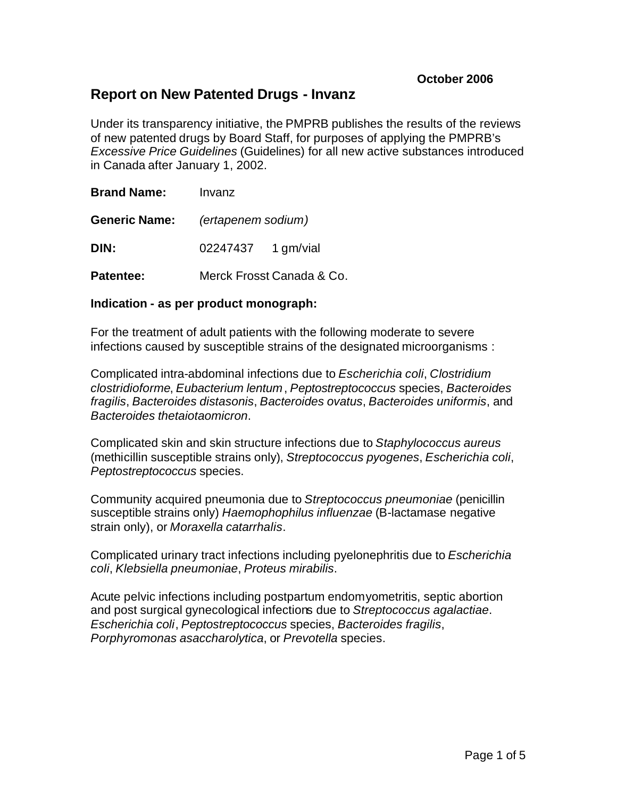# **Report on New Patented Drugs - Invanz**

Under its transparency initiative, the PMPRB publishes the results of the reviews of new patented drugs by Board Staff, for purposes of applying the PMPRB's *Excessive Price Guidelines* (Guidelines) for all new active substances introduced in Canada after January 1, 2002.

| <b>Brand Name:</b>   | Invanz             |                           |  |
|----------------------|--------------------|---------------------------|--|
| <b>Generic Name:</b> | (ertapenem sodium) |                           |  |
| DIN:                 | 02247437 1 gm/vial |                           |  |
| <b>Patentee:</b>     |                    | Merck Frosst Canada & Co. |  |

# **Indication - as per product monograph:**

For the treatment of adult patients with the following moderate to severe infections caused by susceptible strains of the designated microorganisms :

Complicated intra-abdominal infections due to *Escherichia coli*, *Clostridium clostridioforme*, *Eubacterium lentum*, *Peptostreptococcus* species, *Bacteroides fragilis*, *Bacteroides distasonis*, *Bacteroides ovatus*, *Bacteroides uniformis*, and *Bacteroides thetaiotaomicron*.

Complicated skin and skin structure infections due to *Staphylococcus aureus* (methicillin susceptible strains only), *Streptococcus pyogenes*, *Escherichia coli*, *Peptostreptococcus* species.

Community acquired pneumonia due to *Streptococcus pneumoniae* (penicillin susceptible strains only) *Haemophophilus influenzae* (B-lactamase negative strain only), or *Moraxella catarrhalis*.

Complicated urinary tract infections including pyelonephritis due to *Escherichia coli*, *Klebsiella pneumoniae*, *Proteus mirabilis*.

Acute pelvic infections including postpartum endomyometritis, septic abortion and post surgical gynecological infections due to *Streptococcus agalactiae*. *Escherichia coli*, *Peptostreptococcus* species, *Bacteroides fragilis*, *Porphyromonas asaccharolytica*, or *Prevotella* species.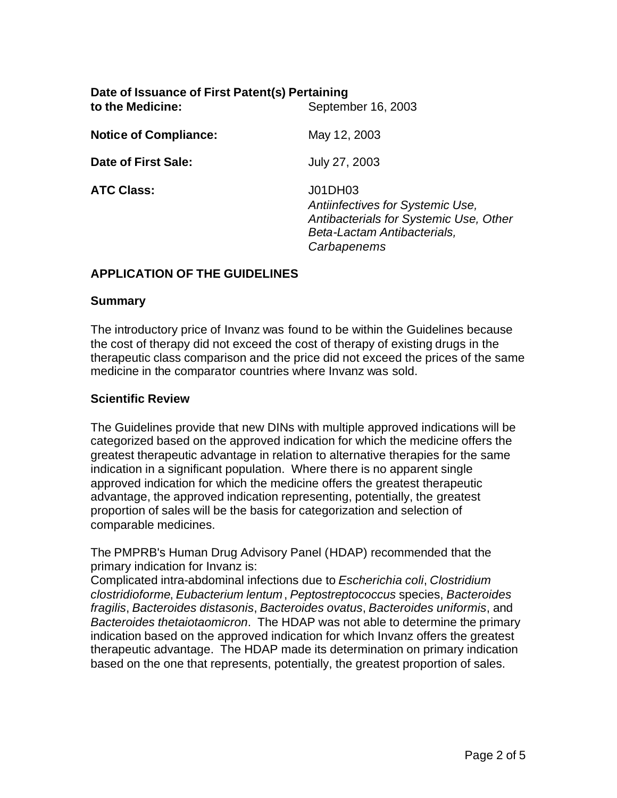| Date of Issuance of First Patent(s) Pertaining<br>to the Medicine:<br>September 16, 2003 |                                                                                                                                     |  |
|------------------------------------------------------------------------------------------|-------------------------------------------------------------------------------------------------------------------------------------|--|
| <b>Notice of Compliance:</b>                                                             | May 12, 2003                                                                                                                        |  |
| Date of First Sale:                                                                      | July 27, 2003                                                                                                                       |  |
| <b>ATC Class:</b>                                                                        | J01DH03<br>Antiinfectives for Systemic Use,<br>Antibacterials for Systemic Use, Other<br>Beta-Lactam Antibacterials,<br>Carbapenems |  |

# **APPLICATION OF THE GUIDELINES**

#### **Summary**

The introductory price of Invanz was found to be within the Guidelines because the cost of therapy did not exceed the cost of therapy of existing drugs in the therapeutic class comparison and the price did not exceed the prices of the same medicine in the comparator countries where Invanz was sold.

### **Scientific Review**

The Guidelines provide that new DINs with multiple approved indications will be categorized based on the approved indication for which the medicine offers the greatest therapeutic advantage in relation to alternative therapies for the same indication in a significant population. Where there is no apparent single approved indication for which the medicine offers the greatest therapeutic advantage, the approved indication representing, potentially, the greatest proportion of sales will be the basis for categorization and selection of comparable medicines.

The PMPRB's Human Drug Advisory Panel (HDAP) recommended that the primary indication for Invanz is:

Complicated intra-abdominal infections due to *Escherichia coli*, *Clostridium clostridioforme*, *Eubacterium lentum*, *Peptostreptococcus* species, *Bacteroides fragilis*, *Bacteroides distasonis*, *Bacteroides ovatus*, *Bacteroides uniformis*, and *Bacteroides thetaiotaomicron*. The HDAP was not able to determine the primary indication based on the approved indication for which Invanz offers the greatest therapeutic advantage. The HDAP made its determination on primary indication based on the one that represents, potentially, the greatest proportion of sales.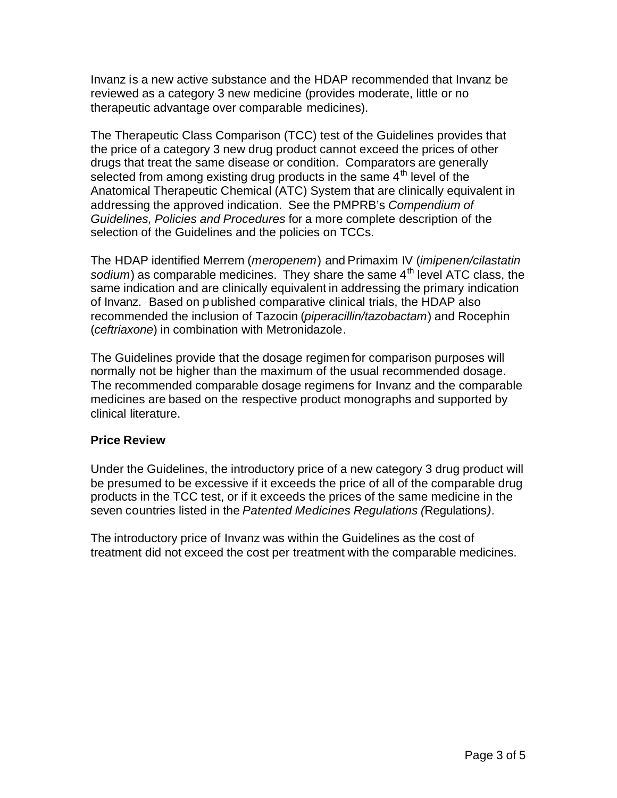Invanz is a new active substance and the HDAP recommended that Invanz be reviewed as a category 3 new medicine (provides moderate, little or no therapeutic advantage over comparable medicines).

The Therapeutic Class Comparison (TCC) test of the Guidelines provides that the price of a category 3 new drug product cannot exceed the prices of other drugs that treat the same disease or condition. Comparators are generally selected from among existing drug products in the same  $4<sup>th</sup>$  level of the Anatomical Therapeutic Chemical (ATC) System that are clinically equivalent in addressing the approved indication. See the PMPRB's *Compendium of Guidelines, Policies and Procedures* for a more complete description of the selection of the Guidelines and the policies on TCCs.

The HDAP identified Merrem (*meropenem*) and Primaxim IV (*imipenen/cilastatin* sodium) as comparable medicines. They share the same 4<sup>th</sup> level ATC class, the same indication and are clinically equivalent in addressing the primary indication of Invanz. Based on published comparative clinical trials, the HDAP also recommended the inclusion of Tazocin (*piperacillin/tazobactam*) and Rocephin (*ceftriaxone*) in combination with Metronidazole.

The Guidelines provide that the dosage regimen for comparison purposes will normally not be higher than the maximum of the usual recommended dosage. The recommended comparable dosage regimens for Invanz and the comparable medicines are based on the respective product monographs and supported by clinical literature.

# **Price Review**

Under the Guidelines, the introductory price of a new category 3 drug product will be presumed to be excessive if it exceeds the price of all of the comparable drug products in the TCC test, or if it exceeds the prices of the same medicine in the seven countries listed in the *Patented Medicines Regulations (*Regulations*).*

The introductory price of Invanz was within the Guidelines as the cost of treatment did not exceed the cost per treatment with the comparable medicines.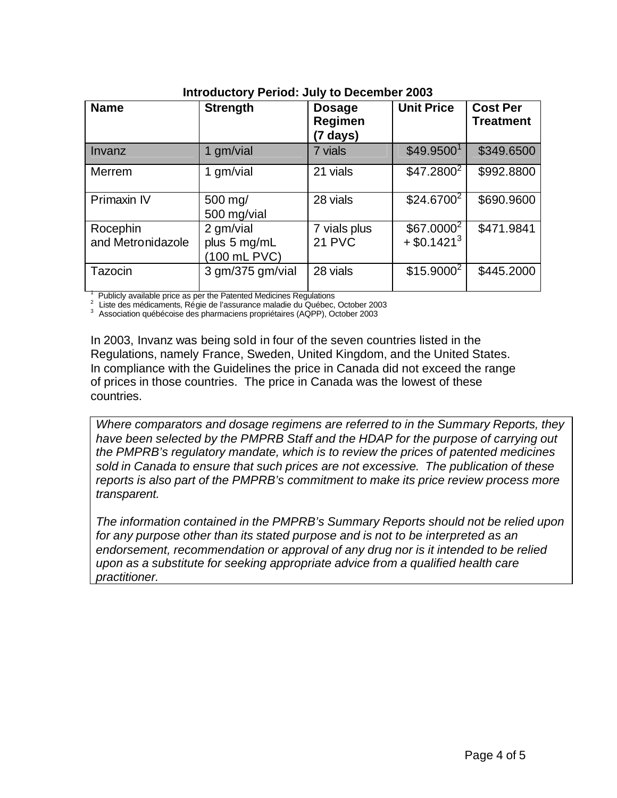| <b>Name</b>                   | <b>Strength</b>                           | <b>Dosage</b><br>Regimen<br>$(7 \text{ days})$ | <b>Unit Price</b>                         | <b>Cost Per</b><br><b>Treatment</b> |  |  |
|-------------------------------|-------------------------------------------|------------------------------------------------|-------------------------------------------|-------------------------------------|--|--|
| Invanz                        | 1 gm/vial                                 | 7 vials                                        | \$49.9500 <sup>1</sup>                    | \$349.6500                          |  |  |
| Merrem                        | 1 gm/vial                                 | 21 vials                                       | \$47.2800 <sup>2</sup>                    | \$992.8800                          |  |  |
| Primaxin IV                   | 500 mg/<br>500 mg/vial                    | 28 vials                                       | $$24.6700^2$                              | \$690.9600                          |  |  |
| Rocephin<br>and Metronidazole | 2 gm/vial<br>plus 5 mg/mL<br>(100 mL PVC) | 7 vials plus<br>21 PVC                         | $$67.0000^2$<br>$+$ \$0.1421 <sup>3</sup> | \$471.9841                          |  |  |
| Tazocin                       | $3$ gm/ $375$ gm/vial                     | 28 vials                                       | $$15.9000^2$                              | \$445.2000                          |  |  |

#### **Introductory Period: July to December 2003**

1 Publicly available price as per the Patented Medicines Regulations

<sup>2</sup>Liste des médicaments, Régie de l'assurance maladie du Québec, October 2003

3 Association québécoise des pharmaciens propriétaires (AQPP), October 2003

In 2003, Invanz was being sold in four of the seven countries listed in the Regulations, namely France, Sweden, United Kingdom, and the United States. In compliance with the Guidelines the price in Canada did not exceed the range of prices in those countries. The price in Canada was the lowest of these countries.

*Where comparators and dosage regimens are referred to in the Summary Reports, they have been selected by the PMPRB Staff and the HDAP for the purpose of carrying out the PMPRB's regulatory mandate, which is to review the prices of patented medicines sold in Canada to ensure that such prices are not excessive. The publication of these reports is also part of the PMPRB's commitment to make its price review process more transparent.*

*The information contained in the PMPRB's Summary Reports should not be relied upon*  for any purpose other than its stated purpose and is not to be interpreted as an endorsement, recommendation or approval of any drug nor is it intended to be relied *upon as a substitute for seeking appropriate advice from a qualified health care practitioner.*